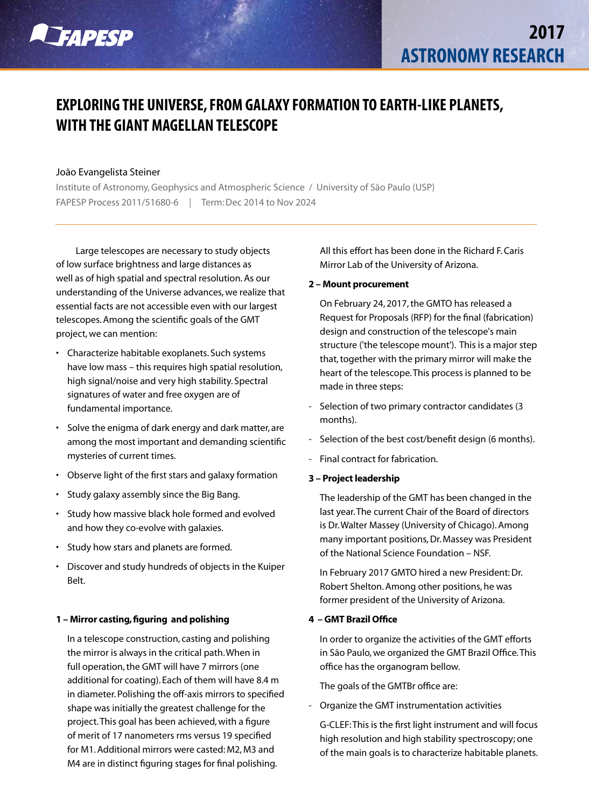

# **EXPLORING THE UNIVERSE, FROM GALAXY FORMATION TO EARTH-LIKE PLANETS, WITH THE GIANT MAGELLAN TELESCOPE**

## João Evangelista Steiner

Institute of Astronomy, Geophysics and Atmospheric Science / University of São Paulo (USP) FAPESP Process 2011/51680-6 *|* Term: Dec 2014 to Nov 2024

Large telescopes are necessary to study objects of low surface brightness and large distances as well as of high spatial and spectral resolution. As our understanding of the Universe advances, we realize that essential facts are not accessible even with our largest telescopes. Among the scientific goals of the GMT project, we can mention:

- Characterize habitable exoplanets. Such systems have low mass – this requires high spatial resolution, high signal/noise and very high stability. Spectral signatures of water and free oxygen are of fundamental importance.
- Solve the enigma of dark energy and dark matter, are among the most important and demanding scientific mysteries of current times.
- Observe light of the first stars and galaxy formation
- Study galaxy assembly since the Big Bang.
- Study how massive black hole formed and evolved and how they co-evolve with galaxies.
- Study how stars and planets are formed.
- Discover and study hundreds of objects in the Kuiper Belt.

## 1 – Mirror casting, figuring and polishing

In a telescope construction, casting and polishing the mirror is always in the critical path. When in full operation, the GMT will have 7 mirrors (one additional for coating). Each of them will have 8.4 m in diameter. Polishing the off-axis mirrors to specified shape was initially the greatest challenge for the project. This goal has been achieved, with a figure of merit of 17 nanometers rms versus 19 specified for M1. Additional mirrors were casted: M2, M3 and M4 are in distinct figuring stages for final polishing.

All this effort has been done in the Richard F. Caris Mirror Lab of the University of Arizona.

#### 2 – Mount procurement

On February 24, 2017, the GMTO has released a Request for Proposals (RFP) for the final (fabrication) design and construction of the telescope's main structure ('the telescope mount'). This is a major step that, together with the primary mirror will make the heart of the telescope. This process is planned to be made in three steps:

- Selection of two primary contractor candidates (3 months).
- Selection of the best cost/benefit design (6 months).
- Final contract for fabrication.
- 3 Project leadership

The leadership of the GMT has been changed in the last year. The current Chair of the Board of directors is Dr. Walter Massey (University of Chicago). Among many important positions, Dr. Massey was President of the National Science Foundation – NSF.

In February 2017 GMTO hired a new President: Dr. Robert Shelton. Among other positions, he was former president of the University of Arizona.

#### 4 – GMT Brazil Office

In order to organize the activities of the GMT efforts in São Paulo, we organized the GMT Brazil Office. This office has the organogram bellow.

The goals of the GMTBr office are:

- Organize the GMT instrumentation activities

G-CLEF: This is the first light instrument and will focus high resolution and high stability spectroscopy; one of the main goals is to characterize habitable planets.